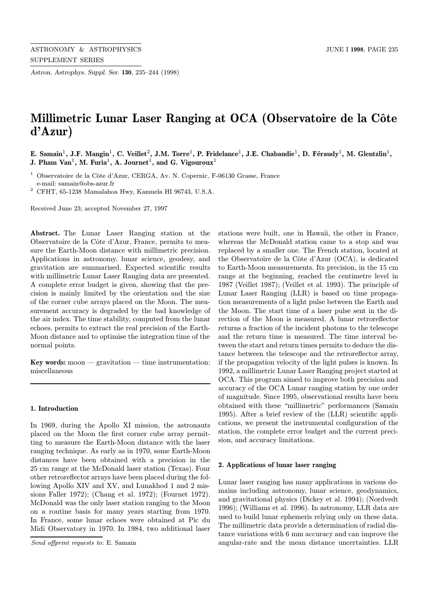Astron. Astrophys. Suppl. Ser. 130, 235–244 (1998)

# Millimetric Lunar Laser Ranging at OCA (Observatoire de la Côte d'Azur)

# E. Samain<sup>1</sup>, J.F. Mangin<sup>1</sup>, C. Veillet<sup>2</sup>, J.M. Torre<sup>1</sup>, P. Fridelance<sup>1</sup>, J.E. Chabaudie<sup>1</sup>, D. Féraudy<sup>1</sup>, M. Glentzlin<sup>1</sup>, J. Pham Van<sup>1</sup>, M. Furia<sup>1</sup>, A. Journet<sup>1</sup>, and G. Vigouroux<sup>1</sup>

 $1$  Observatoire de la Côte d'Azur, CERGA, Av. N. Copernic, F-06130 Grasse, France e-mail: samain@obs-azur.fr

 $^2$  CFHT, 65-1238 Mamalahoa Hwy, Kamuela HI 96743, U.S.A.

Received June 23; accepted November 27, 1997

Abstract. The Lunar Laser Ranging station at the Observatoire de la Côte d'Azur, France, permits to measure the Earth-Moon distance with millimetric precision. Applications in astronomy, lunar science, geodesy, and gravitation are summarised. Expected scientific results with millimetric Lunar Laser Ranging data are presented. A complete error budget is given, showing that the precision is mainly limited by the orientation and the size of the corner cube arrays placed on the Moon. The measurement accuracy is degraded by the bad knowledge of the air index. The time stability, computed from the lunar echoes, permits to extract the real precision of the Earth-Moon distance and to optimise the integration time of the normal points.

Key words: moon  $-$  gravitation  $-$  time instrumentation: miscellaneous

## 1. Introduction

In 1969, during the Apollo XI mission, the astronauts placed on the Moon the first corner cube array permitting to measure the Earth-Moon distance with the laser ranging technique. As early as in 1970, some Earth-Moon distances have been obtained with a precision in the 25 cm range at the McDonald laser station (Texas). Four other retroreflector arrays have been placed during the following Apollo XIV and XV, and Lunakhod 1 and 2 missions Faller 1972); (Chang et al. 1972); (Fournet 1972). McDonald was the only laser station ranging to the Moon on a routine basis for many years starting from 1970. In France, some lunar echoes were obtained at Pic du Midi Observatory in 1970. In 1984, two additional laser

stations were built, one in Hawaii, the other in France, whereas the McDonald station came to a stop and was replaced by a smaller one. The French station, located at the Observatoire de la Côte d'Azur (OCA), is dedicated to Earth-Moon measurements. Its precision, in the 15 cm range at the beginning, reached the centimetre level in 1987 (Veillet 1987); (Veillet et al. 1993). The principle of Lunar Laser Ranging (LLR) is based on time propagation measurements of a light pulse between the Earth and the Moon. The start time of a laser pulse sent in the direction of the Moon is measured. A lunar retroreflector returns a fraction of the incident photons to the telescope and the return time is measured. The time interval between the start and return times permits to deduce the distance between the telescope and the retroreflector array, if the propagation velocity of the light pulses is known. In 1992, a millimetric Lunar Laser Ranging project started at OCA. This program aimed to improve both precision and accuracy of the OCA Lunar ranging station by one order of magnitude. Since 1995, observational results have been obtained with these "millimetric" performances (Samain 1995). After a brief review of the (LLR) scientific applications, we present the instrumental configuration of the station, the complete error budget and the current precision, and accuracy limitations.

#### 2. Applications of lunar laser ranging

Lunar laser ranging has many applications in various domains including astronomy, lunar science, geodynamics, and gravitational physics (Dickey et al. 1994); (Nordvedt 1996); (Williams et al. 1996). In astronomy, LLR data are used to build lunar ephemeris relying only on these data. The millimetric data provide a determination of radial distance variations with 6 mm accuracy and can improve the angular-rate and the mean distance uncertainties. LLR

Send offprint requests to: E. Samain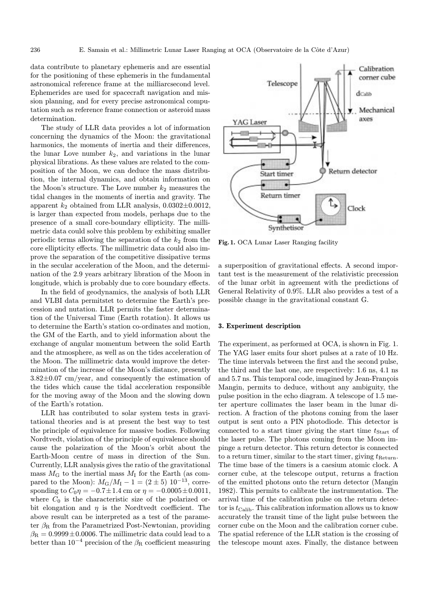data contribute to planetary ephemeris and are essential for the positioning of these ephemeris in the fundamental astronomical reference frame at the milliarcsecond level. Ephemerides are used for spacecraft navigation and mission planning, and for every precise astronomical computation such as reference frame connection or asteroid mass determination.

The study of LLR data provides a lot of information concerning the dynamics of the Moon: the gravitational harmonics, the moments of inertia and their differences, the lunar Love number  $k_2$ , and variations in the lunar physical librations. As these values are related to the composition of the Moon, we can deduce the mass distribution, the internal dynamics, and obtain information on the Moon's structure. The Love number  $k_2$  measures the tidal changes in the moments of inertia and gravity. The apparent  $k_2$  obtained from LLR analysis,  $0.0302 \pm 0.0012$ , is larger than expected from models, perhaps due to the presence of a small core-boundary ellipticity. The millimetric data could solve this problem by exhibiting smaller periodic terms allowing the separation of the  $k_2$  from the core ellipticity effects. The millimetric data could also improve the separation of the competitive dissipative terms in the secular acceleration of the Moon, and the determination of the 2.9 years arbitrary libration of the Moon in longitude, which is probably due to core boundary effects.

In the field of geodynamics, the analysis of both LLR and VLBI data permitstet to determine the Earth's precession and nutation. LLR permits the faster determination of the Universal Time (Earth rotation). It allows us to determine the Earth's station co-ordinates and motion, the GM of the Earth, and to yield information about the exchange of angular momentum between the solid Earth and the atmosphere, as well as on the tides acceleration of the Moon. The millimetric data would improve the determination of the increase of the Moon's distance, presently  $3.82\pm0.07$  cm/year, and consequently the estimation of the tides which cause the tidal acceleration responsible for the moving away of the Moon and the slowing down of the Earth's rotation.

LLR has contributed to solar system tests in gravitational theories and is at present the best way to test the principle of equivalence for massive bodies. Following Nordtvedt, violation of the principle of equivalence should cause the polarization of the Moon's orbit about the Earth-Moon centre of mass in direction of the Sun. Currently, LLR analysis gives the ratio of the gravitational mass  $M<sub>G</sub>$  to the inertial mass  $M<sub>I</sub>$  for the Earth (as compared to the Moon):  $M_{\rm G}/M_{\rm I} - 1 = (2 \pm 5) \; 10^{-13}$ , corresponding to  $C_0 \eta = -0.7 \pm 1.4$  cm or  $\eta = -0.0005 \pm 0.0011$ , where  $C_0$  is the characteristic size of the polarized orbit elongation and  $\eta$  is the Nordtvedt coefficient. The above result can be interpreted as a test of the parameter  $\beta_R$  from the Parametrized Post-Newtonian, providing  $\beta_{\rm R} = 0.9999 \pm 0.0006.$  The millimetric data could lead to a better than  $10^{-4}$  precision of the  $\beta_R$  coefficient measuring



Fig. 1. OCA Lunar Laser Ranging facility

a superposition of gravitational effects. A second important test is the measurement of the relativistic precession of the lunar orbit in agreement with the predictions of General Relativity of 0.9%. LLR also provides a test of a possible change in the gravitational constant G.

#### 3. Experiment description

The experiment, as performed at OCA, is shown in Fig. 1. The YAG laser emits four short pulses at a rate of 10 Hz. The time intervals between the first and the second pulse, the third and the last one, are respectively: 1.6 ns, 4.1 ns and 5.7 ns. This temporal code, imagined by Jean-François Mangin, permits to deduce, without any ambiguity, the pulse position in the echo diagram. A telescope of 1.5 meter aperture collimates the laser beam in the lunar direction. A fraction of the photons coming from the laser output is sent onto a PIN photodiode. This detector is connected to a start timer giving the start time  $t_{\text{Start}}$  of the laser pulse. The photons coming from the Moon impinge a return detector. This return detector is connected to a return timer, similar to the start timer, giving  $t_{\text{Return}}$ . The time base of the timers is a caesium atomic clock. A corner cube, at the telescope output, returns a fraction of the emitted photons onto the return detector (Mangin 1982). This permits to calibrate the instrumentation. The arrival time of the calibration pulse on the return detector is  $t_{\text{Calib}}$ . This calibration information allows us to know accurately the transit time of the light pulse between the corner cube on the Moon and the calibration corner cube. The spatial reference of the LLR station is the crossing of the telescope mount axes. Finally, the distance between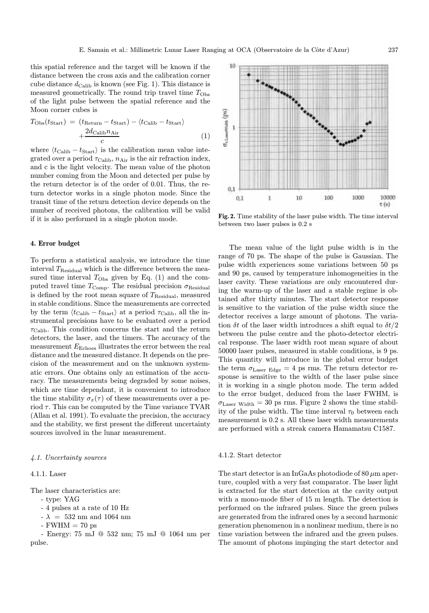this spatial reference and the target will be known if the distance between the cross axis and the calibration corner cube distance  $d_{\text{Calib}}$  is known (see Fig. 1). This distance is measured geometrically. The round trip travel time  $T_{\text{Obs}}$ of the light pulse between the spatial reference and the Moon corner cubes is

$$
T_{\text{Obs}}(t_{\text{Start}}) = (t_{\text{Return}} - t_{\text{Start}}) - \langle t_{\text{Calib}} - t_{\text{Start}} \rangle + \frac{2d_{\text{Calib}} n_{\text{Air}}}{c}
$$
(1)

where  $\langle t_{\text{Calib}} - t_{\text{Start}} \rangle$  is the calibration mean value integrated over a period  $\tau_{\text{Calib}}$ ,  $n_{\text{Air}}$  is the air refraction index, and c is the light velocity. The mean value of the photon number coming from the Moon and detected per pulse by the return detector is of the order of 0.01. Thus, the return detector works in a single photon mode. Since the transit time of the return detection device depends on the number of received photons, the calibration will be valid if it is also performed in a single photon mode.

## 4. Error budget

To perform a statistical analysis, we introduce the time interval  $T_{\text{Residual}}$  which is the difference between the measured time interval  $T_{\text{Obs}}$  given by Eq. (1) and the computed travel time  $T_{\text{Comp}}$ . The residual precision  $\sigma_{\text{Residual}}$ is defined by the root mean square of  $T_{\rm Residual},$  measured in stable conditions. Since the measurements are corrected by the term  $\langle t_{\text{Calib}} - t_{\text{Start}} \rangle$  at a period  $\tau_{\text{Calib}}$ , all the instrumental precisions have to be evaluated over a period  $\tau_{\text{Calib}}$ . This condition concerns the start and the return detectors, the laser, and the timers. The accuracy of the measurement  $E_{\text{Echoes}}$  illustrates the error between the real distance and the measured distance. It depends on the precision of the measurement and on the unknown systematic errors. One obtains only an estimation of the accuracy. The measurements being degraded by some noises, which are time dependant, it is convenient to introduce the time stability  $\sigma_x(\tau)$  of these measurements over a period  $\tau$ . This can be computed by the Time variance TVAR (Allan et al. 1991). To evaluate the precision, the accuracy and the stability, we first present the different uncertainty sources involved in the lunar measurement.

# 4.1. Uncertainty sources

### 4.1.1. Laser

The laser characteristics are:

- type: YAG
- 4 pulses at a rate of 10 Hz
- $-\lambda$  = 532 nm and 1064 nm
- $-FWHM = 70$  ps

- Energy: 75 mJ @ 532 nm; 75 mJ @ 1064 nm per pulse.



Fig. 2. Time stability of the laser pulse width. The time interval between two laser pulses is 0.2 s

The mean value of the light pulse width is in the range of 70 ps. The shape of the pulse is Gaussian. The pulse width experiences some variations between 50 ps and 90 ps, caused by temperature inhomogeneities in the laser cavity. These variations are only encountered during the warm-up of the laser and a stable regime is obtained after thirty minutes. The start detector response is sensitive to the variation of the pulse width since the detector receives a large amount of photons. The variation  $\delta t$  of the laser width introduces a shift equal to  $\delta t/2$ between the pulse centre and the photo-detector electrical response. The laser width root mean square of about 50000 laser pulses, measured in stable conditions, is 9 ps. This quantity will introduce in the global error budget the term  $\sigma_{\text{Laser Edge}} = 4$  ps rms. The return detector response is sensitive to the width of the laser pulse since it is working in a single photon mode. The term added to the error budget, deduced from the laser FWHM, is  $\sigma_{\text{Laser Width}} = 30 \text{ ps rms.}$  Figure 2 shows the time stability of the pulse width. The time interval  $\tau_0$  between each measurement is 0.2 s. All these laser width measurements are performed with a streak camera Hamamatsu C1587.

#### 4.1.2. Start detector

The start detector is an InGaAs photodiode of 80  $\mu$ m aperture, coupled with a very fast comparator. The laser light is extracted for the start detection at the cavity output with a mono-mode fiber of 15 m length. The detection is performed on the infrared pulses. Since the green pulses are generated from the infrared ones by a second harmonic generation phenomenon in a nonlinear medium, there is no time variation between the infrared and the green pulses. The amount of photons impinging the start detector and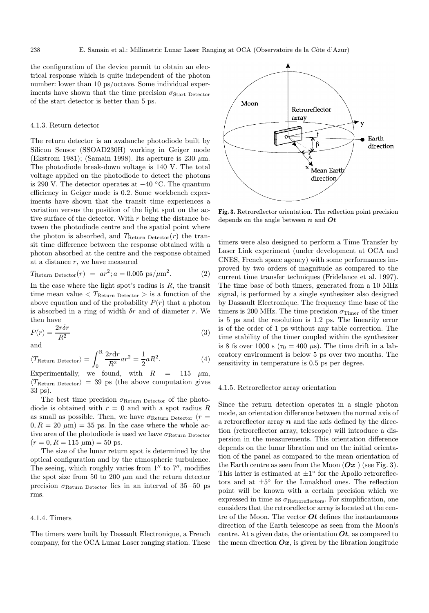the configuration of the device permit to obtain an electrical response which is quite independent of the photon number: lower than 10 ps/octave. Some individual experiments have shown that the time precision  $\sigma_{\text{Start}}$  Detector of the start detector is better than 5 ps.

### 4.1.3. Return detector

The return detector is an avalanche photodiode built by Silicon Sensor (SSOAD230H) working in Geiger mode (Ekstrom 1981); (Samain 1998). Its aperture is 230  $\mu$ m. The photodiode break-down voltage is 140 V. The total voltage applied on the photodiode to detect the photons is 290 V. The detector operates at −40 ◦C. The quantum efficiency in Geiger mode is 0.2. Some workbench experiments have shown that the transit time experiences a variation versus the position of the light spot on the active surface of the detector. With  $r$  being the distance between the photodiode centre and the spatial point where the photon is absorbed, and  $T_{\text{Return Detection}}(r)$  the transit time difference between the response obtained with a photon absorbed at the centre and the response obtained at a distance  $r$ , we have measured

$$
T_{\text{Return Detection}}(r) = ar^2; a = 0.005 \text{ ps}/\mu\text{m}^2. \tag{2}
$$

In the case where the light spot's radius is  $R$ , the transit time mean value  $T_{\text{Return Detection}} >$  is a function of the above equation and of the probability  $P(r)$  that a photon is absorbed in a ring of width  $\delta r$  and of diameter r. We then have

$$
P(r) = \frac{2r\delta r}{R^2} \tag{3}
$$

and

$$
\langle T_{\text{Return Detector}} \rangle = \int_0^R \frac{2r \, dr}{R^2} ar^2 = \frac{1}{2} aR^2. \tag{4}
$$

Experimentally, we found, with  $R = 115 \mu m$ ,  $\langle T_{\rm Return\; Detection} \rangle = 39$  ps (the above computation gives 33 ps).

The best time precision  $\sigma_{\text{Return Detection}}$  of the photodiode is obtained with  $r = 0$  and with a spot radius R as small as possible. Then, we have  $\sigma_{\text{Return Detection}}$  ( $r =$  $(0, R = 20 \mu m) = 35$  ps. In the case where the whole active area of the photodiode is used we have  $\sigma_{\rm Return\; Detection}$  $(r = 0, R = 115 \mu m) = 50 \text{ ps}.$ 

The size of the lunar return spot is determined by the optical configuration and by the atmospheric turbulence. The seeing, which roughly varies from  $1''$  to  $7''$ , modifies the spot size from 50 to 200  $\mu$ m and the return detector precision  $\sigma_{\text{Return Detection}}$  lies in an interval of 35–50 ps rms.

#### 4.1.4. Timers

The timers were built by Dassault Electronique, a French company, for the OCA Lunar Laser ranging station. These



Fig. 3. Retroreflector orientation. The reflection point precision depends on the angle between  $n$  and  $Ot$ 

timers were also designed to perform a Time Transfer by Laser Link experiment (under development at OCA and CNES, French space agency) with some performances improved by two orders of magnitude as compared to the current time transfer techniques (Fridelance et al. 1997). The time base of both timers, generated from a 10 MHz signal, is performed by a single synthesizer also designed by Dassault Electronique. The frequency time base of the timers is 200 MHz. The time precision  $\sigma_{\text{Timer}}$  of the timer is 5 ps and the resolution is 1.2 ps. The linearity error is of the order of 1 ps without any table correction. The time stability of the timer coupled within the synthesizer is 8 fs over 1000 s ( $\tau_0 = 400 \mu s$ ). The time drift in a laboratory environment is below 5 ps over two months. The sensitivity in temperature is 0.5 ps per degree.

### 4.1.5. Retroreflector array orientation

Since the return detection operates in a single photon mode, an orientation difference between the normal axis of a retroreflector array  $n$  and the axis defined by the direction (retroreflector array, telescope) will introduce a dispersion in the measurements. This orientation difference depends on the lunar libration and on the initial orientation of the panel as compared to the mean orientation of the Earth centre as seen from the Moon  $(Ox)$  (see Fig. 3). This latter is estimated at  $\pm 1^\circ$  for the Apollo retroreflectors and at  $\pm 5^{\circ}$  for the Lunakhod ones. The reflection point will be known with a certain precision which we expressed in time as  $\sigma_{\text{Retroreflectors}}$ . For simplification, one considers that the retroreflector array is located at the centre of the Moon. The vector  $\boldsymbol{O} t$  defines the instantaneous direction of the Earth telescope as seen from the Moon's centre. At a given date, the orientation  $\boldsymbol{O}t$ , as compared to the mean direction  $Ox$ , is given by the libration longitude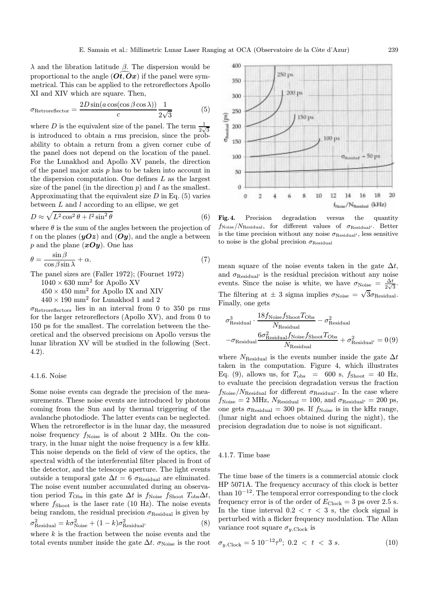λ and the libration latitude β. The dispersion would be proportional to the angle  $(\overrightarrow{Ot}, \overrightarrow{Ox})$  if the panel were symmetrical. This can be applied to the retroreflectors Apollo XI and XIV which are square. Then,

$$
\sigma_{\text{Retroreflector}} = \frac{2D\sin(a\cos(\cos\beta\cos\lambda))}{c} \frac{1}{2\sqrt{3}} \tag{5}
$$

where D is the equivalent size of the panel. The term  $\frac{1}{2\sqrt{3}}$ is introduced to obtain a rms precision, since the probability to obtain a return from a given corner cube of the panel does not depend on the location of the panel. For the Lunakhod and Apollo XV panels, the direction of the panel major axis  $p$  has to be taken into account in the dispersion computation. One defines L as the largest size of the panel (in the direction  $p$ ) and  $l$  as the smallest. Approximating that the equivalent size  $D$  in Eq. (5) varies between  $L$  and  $l$  according to an ellipse, we get

$$
D \approx \sqrt{L^2 \cos^2 \theta + l^2 \sin^2 \theta} \tag{6}
$$

where  $\theta$  is the sum of the angles between the projection of t on the planes  $(yOz)$  and  $(Oy)$ , and the angle a between p and the plane  $(xOy)$ . One has

$$
\theta = \frac{\sin \beta}{\cos \beta \sin \lambda} + \alpha. \tag{7}
$$

The panel sizes are (Faller 1972); (Fournet 1972)

 $1040 \times 630$  mm<sup>2</sup> for Apollo XV

 $450 \times 450$  mm<sup>2</sup> for Apollo IX and XIV

 $440\times190$   $\text{mm}^2$  for Lunakhod 1 and 2

 $\sigma_{\rm{Retroreflectors}}$  lies in an interval from 0 to 350 ps rms for the larger retroreflectors (Apollo XV), and from 0 to 150 ps for the smallest. The correlation between the theoretical and the observed precisions on Apollo versus the lunar libration XV will be studied in the following (Sect. 4.2).

## 4.1.6. Noise

Some noise events can degrade the precision of the measurements. These noise events are introduced by photons coming from the Sun and by thermal triggering of the avalanche photodiode. The latter events can be neglected. When the retroreflector is in the lunar day, the measured noise frequency  $f_{\text{Noise}}$  is of about 2 MHz. On the contrary, in the lunar night the noise frequency is a few kHz. This noise depends on the field of view of the optics, the spectral width of the interferential filter placed in front of the detector, and the telescope aperture. The light events outside a temporal gate  $\Delta t = 6 \sigma_{\text{Residual}}$  are eliminated. The noise event number accumulated during an observation period  $T_{\text{Obs}}$  in this gate  $\Delta t$  is  $f_{\text{Noise}} f_{\text{Show}} T_{\text{obs}} \Delta t$ , where  $f_{\text{Show}}$  is the laser rate (10 Hz). The noise events being random, the residual precision  $\sigma_{\text{Residual}}$  is given by  $\sigma_{\text{Residual}}^2 = k\sigma_{\text{Noise}}^2 + (1 - k)\sigma_{\text{Residual}}^2$  (8)

where  $k$  is the fraction between the noise events and the total events number inside the gate  $\Delta t$ .  $\sigma_{\text{Noise}}$  is the root



Fig. 4. Precision degradation versus the quantity  $f_{\text{Noise}}/N_{\text{Residual}}$ , for different values of  $\sigma_{\text{Residual}}$ . Better is the time precision without any noise  $\sigma_{\text{Residual'}}$ , less sensitive to noise is the global precision  $\sigma_{\rm Residual}$ 

mean square of the noise events taken in the gate  $\Delta t$ , and  $\sigma_{\rm Residual'}$  is the residual precision without any noise events. Since the noise is white, we have  $\sigma_{\text{Noise}} = \frac{\Delta t}{2\sqrt{3}}$ . The filtering at  $\pm$  3 sigma implies  $\sigma_{\text{Noise}} = \sqrt{3} \sigma_{\text{Residual}}$ . Finally, one gets

$$
\sigma_{\text{Residual}}^3 \cdot \frac{18 f_{\text{Noise}} f_{\text{Shoot}} T_{\text{Obs}}}{N_{\text{Residual}}} - \sigma_{\text{Residual}}^2
$$

$$
- \sigma_{\text{Residual}} \frac{6 \sigma_{\text{Residual}}^2 f_{\text{Noise}} f_{\text{Shoot}} T_{\text{Obs}}}{N_{\text{Residual}}} + \sigma_{\text{Residual'}}^2 = 0 (9)
$$

where  $N_{\text{Residual}}$  is the events number inside the gate  $\Delta t$ taken in the computation. Figure 4, which illustrates Eq. (9), allows us, for  $T_{\text{obs}}$  = 600 s,  $f_{\text{Shoot}}$  = 40 Hz, to evaluate the precision degradation versus the fraction  $f_{\text{Noise}}/N_{\text{Residual}}$  for different  $\sigma_{\text{Residual}}$ . In the case where  $f_{\rm Noise}=2\text{ MHz}, N_{\rm Residual}=100, \text{ and } \sigma_{\rm Residual'}=200 \text{ ps},$ one gets  $\sigma_{\rm Residual} = 300$  ps. If  $f_{\rm Noise}$  is in the kHz range, (lunar night and echoes obtained during the night), the precision degradation due to noise is not significant.

#### 4.1.7. Time base

The time base of the timers is a commercial atomic clock HP 5071A. The frequency accuracy of this clock is better than  $10^{-12}$ . The temporal error corresponding to the clock frequency error is of the order of  $E_{\text{Clock}} = 3$  ps over 2.5 s. In the time interval  $0.2 < \tau < 3$  s, the clock signal is perturbed with a flicker frequency modulation. The Allan variance root square  $\sigma_{y,\text{Clock}}$  is

$$
\sigma_{y.\text{Clock}} = 5 \ 10^{-12} \tau^0; \ 0.2 \ < \ t \ < \ 3 \ s. \tag{10}
$$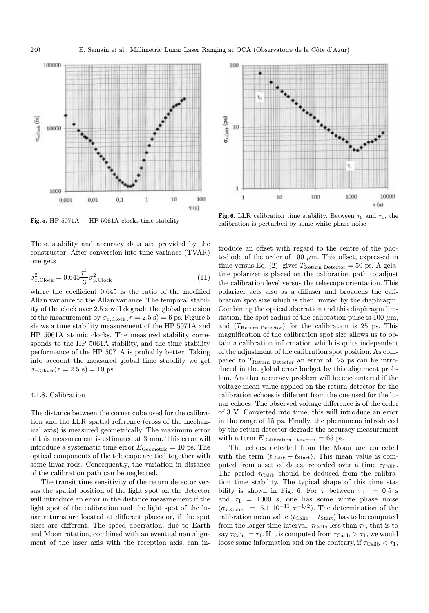

Fig. 5. HP  $5071A - HP 5061A$  clocks time stability

These stability and accuracy data are provided by the constructor. After conversion into time variance (TVAR) one gets

$$
\sigma_{x.\text{Clock}}^2 = 0.645 \frac{\tau^2}{3} \sigma_{y.\text{Clock}}^2 \tag{11}
$$

where the coefficient 0.645 is the ratio of the modified Allan variance to the Allan variance. The temporal stability of the clock over 2.5 s will degrade the global precision of the measurement by  $\sigma_{x.\text{Clock}}(\tau = 2.5 \text{ s}) = 6 \text{ ps}$ . Figure 5 shows a time stability measurement of the HP 5071A and HP 5061A atomic clocks. The measured stability corresponds to the HP 5061A stability, and the time stability performance of the HP 5071A is probably better. Taking into account the measured global time stability we get  $\sigma_{x.\text{Clock}}(\tau = 2.5 \text{ s}) = 10 \text{ ps}.$ 

# 4.1.8. Calibration

The distance between the corner cube used for the calibration and the LLR spatial reference (cross of the mechanical axis) is measured geometrically. The maximum error of this measurement is estimated at 3 mm. This error will introduce a systematic time error  $E_{\rm Geometric} = 10$  ps. The optical components of the telescope are tied together with some invar rods. Consequently, the variation in distance of the calibration path can be neglected.

The transit time sensitivity of the return detector versus the spatial position of the light spot on the detector will introduce an error in the distance measurement if the light spot of the calibration and the light spot of the lunar returns are located at different places or, if the spot sizes are different. The speed aberration, due to Earth and Moon rotation, combined with an eventual non alignment of the laser axis with the reception axis, can in-



Fig. 6. LLR calibration time stability. Between  $\tau_0$  and  $\tau_1$ , the calibration is perturbed by some white phase noise

troduce an offset with regard to the centre of the photodiode of the order of 100  $\mu$ m. This offset, expressed in time versus Eq. (2), gives  $T_{\text{Return Detection}} = 50 \text{ ps. A gela-}$ tine polarizer is placed on the calibration path to adjust the calibration level versus the telescope orientation. This polarizer acts also as a diffuser and broadens the calibration spot size which is then limited by the diaphragm. Combining the optical aberration and this diaphragm limitation, the spot radius of the calibration pulse is 100  $\mu$ m, and  $\langle T_{\text{Return Defector}} \rangle$  for the calibration is 25 ps. This magnification of the calibration spot size allows us to obtain a calibration information which is quite independent of the adjustment of the calibration spot position. As compared to  $T_{\text{Return Detection}}$  an error of 25 ps can be introduced in the global error budget by this alignment problem. Another accuracy problem will be encountered if the voltage mean value applied on the return detector for the calibration echoes is different from the one used for the lunar echoes. The observed voltage difference is of the order of 3 V. Converted into time, this will introduce an error in the range of 15 ps. Finally, the phenomena introduced by the return detector degrade the accuracy measurement with a term  $E_{\text{Calibration Detection}} = 65 \text{ ps}.$ 

The echoes detected from the Moon are corrected with the term  $\langle t_{\text{Calib}} - t_{\text{Start}} \rangle$ . This mean value is computed from a set of dates, recorded over a time  $\tau_{\text{Calib}}$ . The period  $\tau_{\text{Calib}}$  should be deduced from the calibration time stability. The typical shape of this time stability is shown in Fig. 6. For  $\tau$  between  $\tau_0$  = 0.5 s and  $\tau_1$  = 1000 s, one has some white phase noise  $(\sigma_{x,\text{Calib}} = 5.1 \; 10^{-11} \; \tau^{-1/2})$ . The determination of the calibration mean value  $\langle t_{\text{Calib}} - t_{\text{Start}} \rangle$  has to be computed from the larger time interval,  $\tau_{\rm Calib}$  less than  $\tau_1,$  that is to say  $\tau_{\text{Calib}} = \tau_1$ . If it is computed from  $\tau_{\text{Calib}} > \tau_1$ , we would loose some information and on the contrary, if  $\tau_{\text{Calib}} < \tau_1$ ,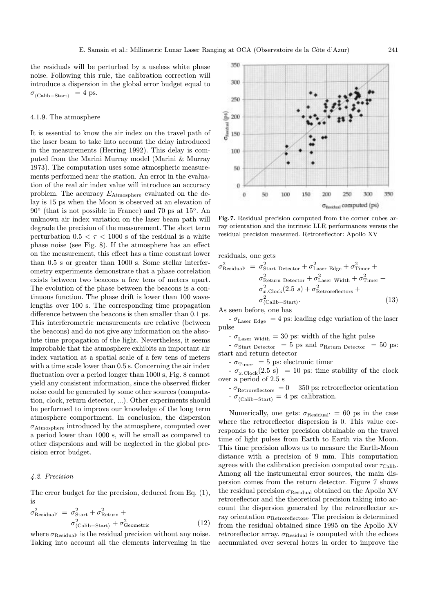the residuals will be perturbed by a useless white phase noise. Following this rule, the calibration correction will introduce a dispersion in the global error budget equal to  $\sigma_{\langle\mathrm{Calib}-\mathrm{Start}\rangle}$  = 4 ps.

### 4.1.9. The atmosphere

It is essential to know the air index on the travel path of the laser beam to take into account the delay introduced in the measurements (Herring 1992). This delay is computed from the Marini Murray model (Marini & Murray 1973). The computation uses some atmospheric measurements performed near the station. An error in the evaluation of the real air index value will introduce an accuracy problem. The accuracy EAtmosphere evaluated on the delay is 15 ps when the Moon is observed at an elevation of 90◦ (that is not possible in France) and 70 ps at 15◦. An unknown air index variation on the laser beam path will degrade the precision of the measurement. The short term perturbation  $0.5 < \tau < 1000$  s of the residual is a white phase noise (see Fig. 8). If the atmosphere has an effect on the measurement, this effect has a time constant lower than 0.5 s or greater than 1000 s. Some stellar interferometry experiments demonstrate that a phase correlation exists between two beacons a few tens of meters apart. The evolution of the phase between the beacons is a continuous function. The phase drift is lower than 100 wavelengths over 100 s. The corresponding time propagation difference between the beacons is then smaller than 0.1 ps. This interferometric measurements are relative (between the beacons) and do not give any information on the absolute time propagation of the light. Nevertheless, it seems improbable that the atmosphere exhibits an important air index variation at a spatial scale of a few tens of meters with a time scale lower than 0.5 s. Concerning the air index fluctuation over a period longer than 1000 s, Fig. 8 cannot yield any consistent information, since the observed flicker noise could be generated by some other sources (computation, clock, return detector, ...). Other experiments should be performed to improve our knowledge of the long term atmosphere comportment. In conclusion, the dispersion  $\sigma_{\text{Atmosphere}}$  introduced by the atmosphere, computed over a period lower than 1000 s, will be small as compared to other dispersions and will be neglected in the global precision error budget.

# 4.2. Precision

The error budget for the precision, deduced from Eq. (1), is

$$
\sigma_{\text{Residual'}}^2 = \sigma_{\text{Start}}^2 + \sigma_{\text{Return}}^2 + \sigma_{\text{Cometric}}^2 + \sigma_{\text{Cometric}}^2 \tag{12}
$$

where  $\sigma_{\rm Residual}$  is the residual precision without any noise. Taking into account all the elements intervening in the



Fig. 7. Residual precision computed from the corner cubes array orientation and the intrinsic LLR performances versus the residual precision measured. Retroreflector: Apollo XV

residuals, one gets

$$
\sigma_{\text{Residual}'}^2 = \sigma_{\text{Start Detector}}^2 + \sigma_{\text{Laser Edge}}^2 + \sigma_{\text{Timer}}^2 + \sigma_{\text{Return Detector}}^2 + \sigma_{\text{Laser Width}}^2 + \sigma_{\text{Timer}}^2 + \sigma_{x \text{Clock}}^2 (2.5 \text{ s}) + \sigma_{\text{Retroreflectors}}^2 + \sigma_{\text{(Calib-Start)}}^2.
$$
\n(13)

As seen before, one has

 $-\sigma_{\text{Laser Edge}} = 4 \text{ ps: leading edge variation of the laser}$ pulse

-  $\sigma_{\text{Laser Width}}$  = 30 ps: width of the light pulse

 $\sigma_{\text{Start Detection}} = 5 \text{ ps and } \sigma_{\text{Return Detection}} = 50 \text{ ps}:$ start and return detector

-  $\sigma_{\rm Timer~}$  = 5 ps: electronic timer

 $-\sigma_{x.\text{Clock}}(2.5 \text{ s}) = 10 \text{ ps: time stability of the clock}$ over a period of 2.5 s

 $\text{-}\,\sigma_{\text{Retroreflectors}}\,=0\,\text{-}\,350\,\text{ps: retroreflector orientation}$  $- \sigma_{\langle\text{Calib}-\text{Start}\rangle} = 4$  ps: calibration.

Numerically, one gets:  $\sigma_{\text{Residual}'} = 60 \text{ ps in the case}$ where the retroreflector dispersion is 0. This value corresponds to the better precision obtainable on the travel time of light pulses from Earth to Earth via the Moon. This time precision allows us to measure the Earth-Moon distance with a precision of 9 mm. This computation agrees with the calibration precision computed over  $\tau_{\text{Calib}}$ . Among all the instrumental error sources, the main dispersion comes from the return detector. Figure 7 shows the residual precision  $\sigma_{\text{Residual}}$  obtained on the Apollo XV retroreflector and the theoretical precision taking into account the dispersion generated by the retroreflector array orientation  $\sigma_{\rm{Retroreflectors}}$ . The precision is determined from the residual obtained since 1995 on the Apollo XV retroreflector array.  $\sigma_{\rm Residual}$  is computed with the echoes accumulated over several hours in order to improve the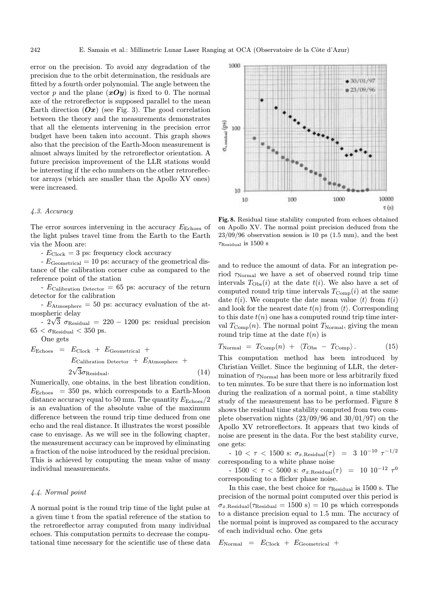error on the precision. To avoid any degradation of the precision due to the orbit determination, the residuals are fitted by a fourth order polynomial. The angle between the vector p and the plane  $(xOy)$  is fixed to 0. The normal axe of the retroreflector is supposed parallel to the mean Earth direction  $(Ox)$  (see Fig. 3). The good correlation between the theory and the measurements demonstrates that all the elements intervening in the precision error budget have been taken into account. This graph shows also that the precision of the Earth-Moon measurement is almost always limited by the retroreflector orientation. A future precision improvement of the LLR stations would be interesting if the echo numbers on the other retroreflector arrays (which are smaller than the Apollo XV ones) were increased.

#### 4.3. Accuracy

The error sources intervening in the accuracy  $E_{\rm{Echoes}}$  of the light pulses travel time from the Earth to the Earth via the Moon are:

 $- E_{\text{Clock}} = 3 \text{ ps: frequency clock accuracy}$ 

 $-E_{\text{Geometrical}} = 10 \text{ ps: accuracy of the geometrical dis$ tance of the calibration corner cube as compared to the reference point of the station

-  $E_{\text{Calibration Detection}} = 65$  ps: accuracy of the return detector for the calibration

 $-E_{\text{Atmosphere}} = 50 \text{ ps: accuracy evaluation of the at-}$ mospheric delay

spneric delay<br>- 2√3  $\sigma_{\rm Residual}$  = 220 – 1200 ps: residual precision  $65 < \sigma_{\rm Residual} < 350$  ps.

One gets

$$
E_{\text{Echoes}} = E_{\text{Clock}} + E_{\text{Geometrical}} + E_{\text{Atmosphere}} + E_{\text{Calibration Detection}} + E_{\text{Atmosphere}} + 2\sqrt{3}\sigma_{\text{Residual}}.
$$
\n(14)

Numerically, one obtains, in the best libration condition,  $E_{\text{Echoes}}$  = 350 ps, which corresponds to a Earth-Moon distance accuracy equal to 50 mm. The quantity  $E_{\rm{Echoes}}/2$ is an evaluation of the absolute value of the maximum difference between the round trip time deduced from one echo and the real distance. It illustrates the worst possible case to envisage. As we will see in the following chapter, the measurement accuracy can be improved by eliminating a fraction of the noise introduced by the residual precision. This is achieved by computing the mean value of many individual measurements.

# 4.4. Normal point

A normal point is the round trip time of the light pulse at a given time t from the spatial reference of the station to the retroreflector array computed from many individual echoes. This computation permits to decrease the computational time necessary for the scientific use of these data



Fig. 8. Residual time stability computed from echoes obtained on Apollo XV. The normal point precision deduced from the  $23/09/96$  observation session is 10 ps  $(1.5 \text{ mm})$ , and the best  $\tau_{\rm Residual}$  is 1500 s

and to reduce the amount of data. For an integration period  $\tau_{\rm Normal}$  we have a set of observed round trip time intervals  $T_{\text{Obs}}(i)$  at the date  $t(i)$ . We also have a set of computed round trip time intervals  $T_{\text{Comp}}(i)$  at the same date  $t(i)$ . We compute the date mean value  $\langle t \rangle$  from  $t(i)$ and look for the nearest date  $t(n)$  from  $\langle t \rangle$ . Corresponding to this date  $t(n)$  one has a computed round trip time interval  $T_{\text{Comp}}(n)$ . The normal point  $T_{\text{Normal}}$ , giving the mean round trip time at the date  $t(n)$  is

$$
T_{\text{Normal}} = T_{\text{Comp}}(n) + \langle T_{\text{Obs}} - T_{\text{Comp}} \rangle. \tag{15}
$$

This computation method has been introduced by Christian Veillet. Since the beginning of LLR, the determination of  $\tau_{\text{Normal}}$  has been more or less arbitrarily fixed to ten minutes. To be sure that there is no information lost during the realization of a normal point, a time stability study of the measurement has to be performed. Figure 8 shows the residual time stability computed from two complete observation nights  $(23/09/96$  and  $30/01/97)$  on the Apollo XV retroreflectors. It appears that two kinds of noise are present in the data. For the best stability curve, one gets:

- 10 <  $\tau$  < 1500 s:  $\sigma_{x \text{.Residual}}(\tau)$  = 3 10<sup>-10</sup>  $\tau^{-1/2}$ corresponding to a white phase noise

- 1500 < τ < 5000 s:  $\sigma_{x.\text{Residual}}(τ)$  = 10 10<sup>-12</sup> τ<sup>0</sup> corresponding to a flicker phase noise.

In this case, the best choice for  $\tau_{\text{Residual}}$  is 1500 s. The precision of the normal point computed over this period is  $\sigma_{x.\text{Residual}}(\tau_{\text{Residual}} = 1500 \text{ s}) = 10 \text{ ps which corresponds}$ to a distance precision equal to 1.5 mm. The accuracy of the normal point is improved as compared to the accuracy of each individual echo. One gets

$$
E_{\rm Normal} = E_{\rm Clock} + E_{\rm Geometrical} +
$$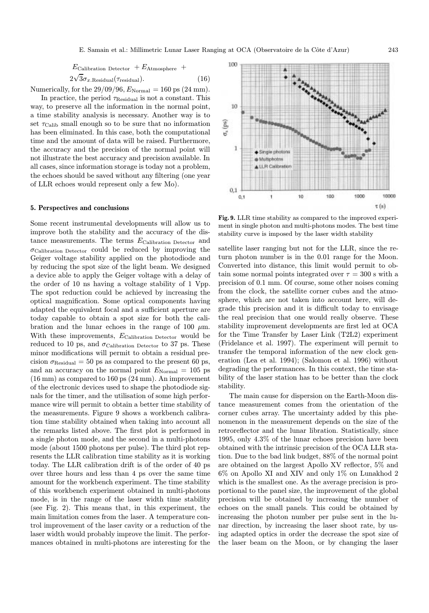$$
E_{\text{Calibration Detection}} + E_{\text{Atmosphere}} +
$$

$$
2\sqrt{3}\sigma_{x.\text{Residual}}(\tau_{\text{residual}}). \tag{16}
$$

Numerically, for the  $29/09/96$ ,  $E_{\text{Normal}} = 160 \text{ ps } (24 \text{ mm}).$ 

In practice, the period  $\tau_{\text{Residual}}$  is not a constant. This way, to preserve all the information in the normal point, a time stability analysis is necessary. Another way is to set  $\tau_{\text{Calib}}$  small enough so to be sure that no information has been eliminated. In this case, both the computational time and the amount of data will be raised. Furthermore, the accuracy and the precision of the normal point will not illustrate the best accuracy and precision available. In all cases, since information storage is today not a problem, the echoes should be saved without any filtering (one year of LLR echoes would represent only a few Mo).

# 5. Perspectives and conclusions

Some recent instrumental developments will allow us to improve both the stability and the accuracy of the distance measurements. The terms  $E_{\rm California\; Detection}$  and  $\sigma$ Calibration Detector could be reduced by improving the Geiger voltage stability applied on the photodiode and by reducing the spot size of the light beam. We designed a device able to apply the Geiger voltage with a delay of the order of 10 ns having a voltage stability of 1 Vpp. The spot reduction could be achieved by increasing the optical magnification. Some optical components having adapted the equivalent focal and a sufficient aperture are today capable to obtain a spot size for both the calibration and the lunar echoes in the range of 100  $\mu$ m. With these improvements,  $E_{\text{Calibration Detection}}$  would be reduced to 10 ps, and  $\sigma_{\text{Calibration Detection}}$  to 37 ps. These minor modifications will permit to obtain a residual precision  $\sigma_{\text{Residual}} = 50$  ps as compared to the present 60 ps, and an accuracy on the normal point  $E_{\text{Normal}} = 105$  ps (16 mm) as compared to 160 ps (24 mm). An improvement of the electronic devices used to shape the photodiode signals for the timer, and the utilisation of some high performance wire will permit to obtain a better time stability of the measurements. Figure 9 shows a workbench calibration time stability obtained when taking into account all the remarks listed above. The first plot is performed in a single photon mode, and the second in a multi-photons mode (about 1500 photons per pulse). The third plot represents the LLR calibration time stability as it is working today. The LLR calibration drift is of the order of 40 ps over three hours and less than 4 ps over the same time amount for the workbench experiment. The time stability of this workbench experiment obtained in multi-photons mode, is in the range of the laser width time stability (see Fig. 2). This means that, in this experiment, the main limitation comes from the laser. A temperature control improvement of the laser cavity or a reduction of the laser width would probably improve the limit. The performances obtained in multi-photons are interesting for the



Fig. 9. LLR time stability as compared to the improved experiment in single photon and multi-photons modes. The best time stability curve is imposed by the laser width stability

satellite laser ranging but not for the LLR, since the return photon number is in the 0.01 range for the Moon. Converted into distance, this limit would permit to obtain some normal points integrated over  $\tau = 300$  s with a precision of 0.1 mm. Of course, some other noises coming from the clock, the satellite corner cubes and the atmosphere, which are not taken into account here, will degrade this precision and it is difficult today to envisage the real precision that one would really observe. These stability improvement developments are first led at OCA for the Time Transfer by Laser Link (T2L2) experiment (Fridelance et al. 1997). The experiment will permit to transfer the temporal information of the new clock generation (Lea et al. 1994); (Salomon et al. 1996) without degrading the performances. In this context, the time stability of the laser station has to be better than the clock stability.

The main cause for dispersion on the Earth-Moon distance measurement comes from the orientation of the corner cubes array. The uncertainty added by this phenomenon in the measurement depends on the size of the retroreflector and the lunar libration. Statistically, since 1995, only 4.3% of the lunar echoes precision have been obtained with the intrinsic precision of the OCA LLR station. Due to the bad link budget, 88% of the normal point are obtained on the largest Apollo XV reflector, 5% and 6% on Apollo XI and XIV and only 1% on Lunakhod 2 which is the smallest one. As the average precision is proportional to the panel size, the improvement of the global precision will be obtained by increasing the number of echoes on the small panels. This could be obtained by increasing the photon number per pulse sent in the lunar direction, by increasing the laser shoot rate, by using adapted optics in order the decrease the spot size of the laser beam on the Moon, or by changing the laser